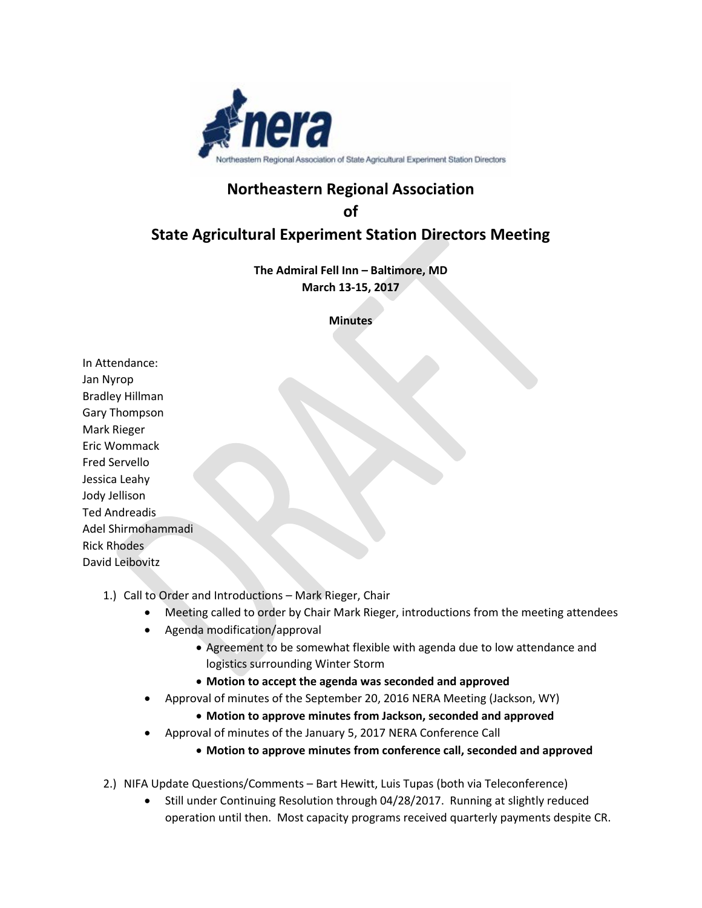

# **Northeastern Regional Association**

**of** 

# **State Agricultural Experiment Station Directors Meeting**

**The Admiral Fell Inn – Baltimore, MD March 13-15, 2017**

### **Minutes**

In Attendance: Jan Nyrop Bradley Hillman Gary Thompson Mark Rieger Eric Wommack Fred Servello Jessica Leahy Jody Jellison Ted Andreadis Adel Shirmohammadi Rick Rhodes David Leibovitz

- 1.) Call to Order and Introductions Mark Rieger, Chair
	- Meeting called to order by Chair Mark Rieger, introductions from the meeting attendees
	- Agenda modification/approval
		- Agreement to be somewhat flexible with agenda due to low attendance and logistics surrounding Winter Storm
		- **Motion to accept the agenda was seconded and approved**
	- Approval of minutes of the September 20, 2016 NERA Meeting (Jackson, WY)
		- **Motion to approve minutes from Jackson, seconded and approved**
	- Approval of minutes of the January 5, 2017 NERA Conference Call
		- **Motion to approve minutes from conference call, seconded and approved**
- 2.) NIFA Update Questions/Comments Bart Hewitt, Luis Tupas (both via Teleconference)
	- Still under Continuing Resolution through 04/28/2017. Running at slightly reduced operation until then. Most capacity programs received quarterly payments despite CR.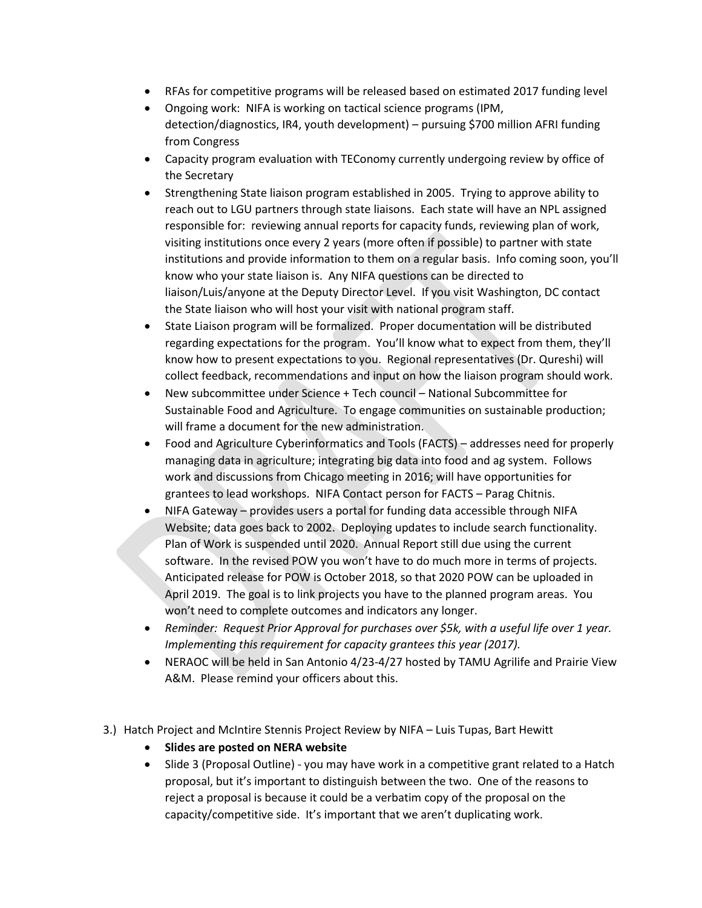- RFAs for competitive programs will be released based on estimated 2017 funding level
- Ongoing work: NIFA is working on tactical science programs (IPM, detection/diagnostics, IR4, youth development) – pursuing \$700 million AFRI funding from Congress
- Capacity program evaluation with TEConomy currently undergoing review by office of the Secretary
- Strengthening State liaison program established in 2005. Trying to approve ability to reach out to LGU partners through state liaisons. Each state will have an NPL assigned responsible for: reviewing annual reports for capacity funds, reviewing plan of work, visiting institutions once every 2 years (more often if possible) to partner with state institutions and provide information to them on a regular basis. Info coming soon, you'll know who your state liaison is. Any NIFA questions can be directed to liaison/Luis/anyone at the Deputy Director Level. If you visit Washington, DC contact the State liaison who will host your visit with national program staff.
- State Liaison program will be formalized. Proper documentation will be distributed regarding expectations for the program. You'll know what to expect from them, they'll know how to present expectations to you. Regional representatives (Dr. Qureshi) will collect feedback, recommendations and input on how the liaison program should work.
- New subcommittee under Science + Tech council National Subcommittee for Sustainable Food and Agriculture. To engage communities on sustainable production; will frame a document for the new administration.
- Food and Agriculture Cyberinformatics and Tools (FACTS) addresses need for properly managing data in agriculture; integrating big data into food and ag system. Follows work and discussions from Chicago meeting in 2016; will have opportunities for grantees to lead workshops. NIFA Contact person for FACTS – Parag Chitnis.
- NIFA Gateway provides users a portal for funding data accessible through NIFA Website; data goes back to 2002. Deploying updates to include search functionality. Plan of Work is suspended until 2020. Annual Report still due using the current software. In the revised POW you won't have to do much more in terms of projects. Anticipated release for POW is October 2018, so that 2020 POW can be uploaded in April 2019. The goal is to link projects you have to the planned program areas. You won't need to complete outcomes and indicators any longer.
- *Reminder: Request Prior Approval for purchases over \$5k, with a useful life over 1 year. Implementing this requirement for capacity grantees this year (2017).*
- NERAOC will be held in San Antonio 4/23-4/27 hosted by TAMU Agrilife and Prairie View A&M. Please remind your officers about this.
- 3.) Hatch Project and McIntire Stennis Project Review by NIFA Luis Tupas, Bart Hewitt
	- **Slides are posted on NERA website**
	- Slide 3 (Proposal Outline) you may have work in a competitive grant related to a Hatch proposal, but it's important to distinguish between the two. One of the reasons to reject a proposal is because it could be a verbatim copy of the proposal on the capacity/competitive side. It's important that we aren't duplicating work.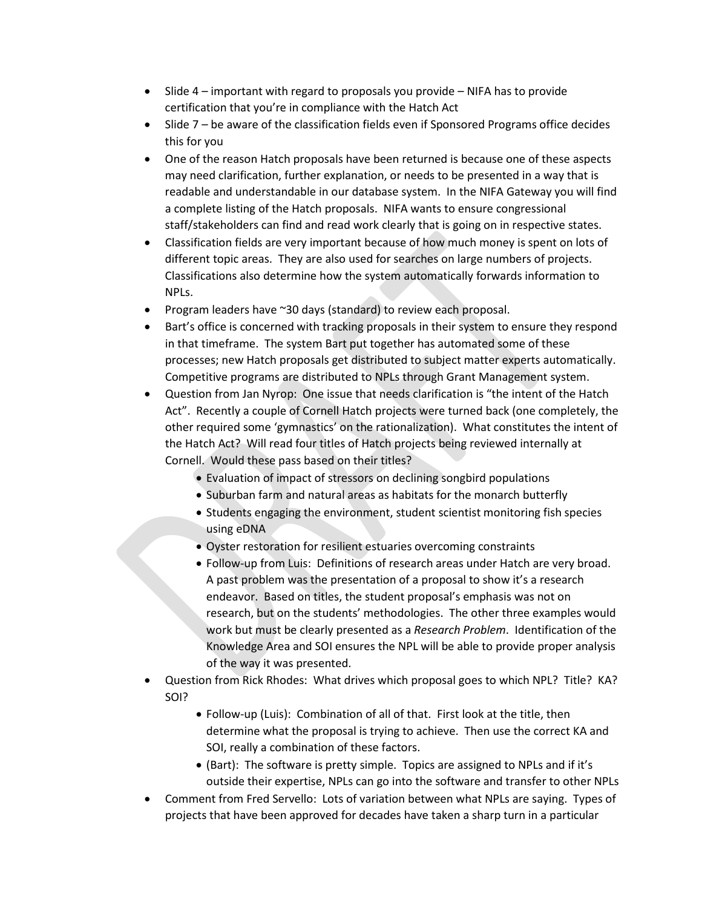- Slide 4 important with regard to proposals you provide NIFA has to provide certification that you're in compliance with the Hatch Act
- Slide 7 be aware of the classification fields even if Sponsored Programs office decides this for you
- One of the reason Hatch proposals have been returned is because one of these aspects may need clarification, further explanation, or needs to be presented in a way that is readable and understandable in our database system. In the NIFA Gateway you will find a complete listing of the Hatch proposals. NIFA wants to ensure congressional staff/stakeholders can find and read work clearly that is going on in respective states.
- Classification fields are very important because of how much money is spent on lots of different topic areas. They are also used for searches on large numbers of projects. Classifications also determine how the system automatically forwards information to NPLs.
- Program leaders have ~30 days (standard) to review each proposal.
- Bart's office is concerned with tracking proposals in their system to ensure they respond in that timeframe. The system Bart put together has automated some of these processes; new Hatch proposals get distributed to subject matter experts automatically. Competitive programs are distributed to NPLs through Grant Management system.
- Question from Jan Nyrop: One issue that needs clarification is "the intent of the Hatch Act". Recently a couple of Cornell Hatch projects were turned back (one completely, the other required some 'gymnastics' on the rationalization). What constitutes the intent of the Hatch Act? Will read four titles of Hatch projects being reviewed internally at Cornell. Would these pass based on their titles?
	- Evaluation of impact of stressors on declining songbird populations
	- Suburban farm and natural areas as habitats for the monarch butterfly
	- Students engaging the environment, student scientist monitoring fish species using eDNA
	- Oyster restoration for resilient estuaries overcoming constraints
	- Follow-up from Luis: Definitions of research areas under Hatch are very broad. A past problem was the presentation of a proposal to show it's a research endeavor. Based on titles, the student proposal's emphasis was not on research, but on the students' methodologies. The other three examples would work but must be clearly presented as a *Research Problem*. Identification of the Knowledge Area and SOI ensures the NPL will be able to provide proper analysis of the way it was presented.
- Question from Rick Rhodes: What drives which proposal goes to which NPL? Title? KA? SOI?
	- Follow-up (Luis): Combination of all of that. First look at the title, then determine what the proposal is trying to achieve. Then use the correct KA and SOI, really a combination of these factors.
	- (Bart): The software is pretty simple. Topics are assigned to NPLs and if it's outside their expertise, NPLs can go into the software and transfer to other NPLs
- Comment from Fred Servello: Lots of variation between what NPLs are saying. Types of projects that have been approved for decades have taken a sharp turn in a particular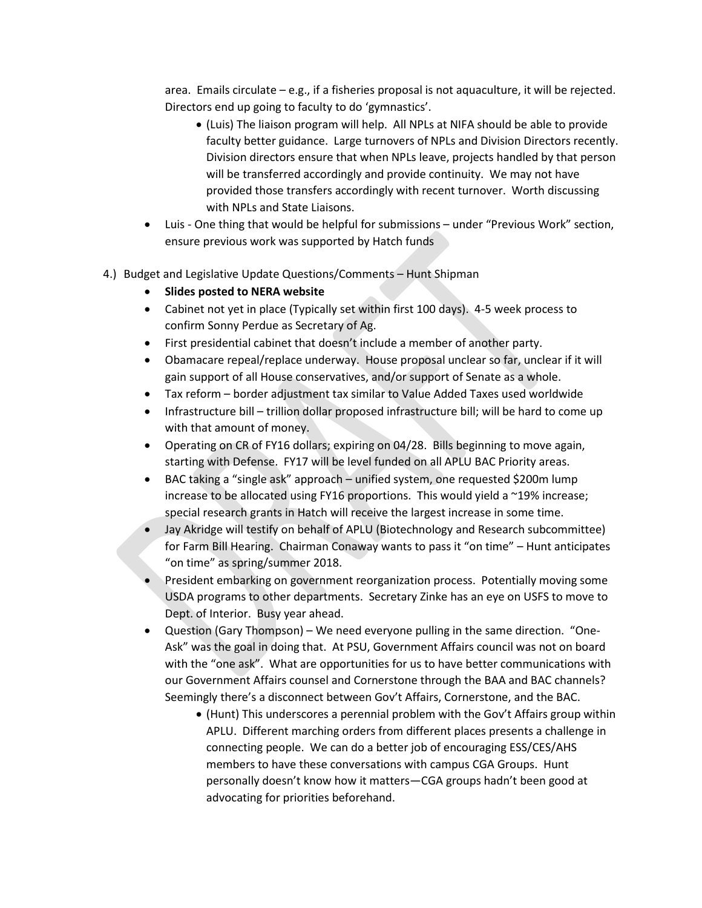area. Emails circulate – e.g., if a fisheries proposal is not aquaculture, it will be rejected. Directors end up going to faculty to do 'gymnastics'.

- (Luis) The liaison program will help. All NPLs at NIFA should be able to provide faculty better guidance. Large turnovers of NPLs and Division Directors recently. Division directors ensure that when NPLs leave, projects handled by that person will be transferred accordingly and provide continuity. We may not have provided those transfers accordingly with recent turnover. Worth discussing with NPLs and State Liaisons.
- Luis One thing that would be helpful for submissions under "Previous Work" section, ensure previous work was supported by Hatch funds
- 4.) Budget and Legislative Update Questions/Comments Hunt Shipman
	- **Slides posted to NERA website**
	- Cabinet not yet in place (Typically set within first 100 days). 4-5 week process to confirm Sonny Perdue as Secretary of Ag.
	- First presidential cabinet that doesn't include a member of another party.
	- Obamacare repeal/replace underway. House proposal unclear so far, unclear if it will gain support of all House conservatives, and/or support of Senate as a whole.
	- Tax reform border adjustment tax similar to Value Added Taxes used worldwide
	- Infrastructure bill trillion dollar proposed infrastructure bill; will be hard to come up with that amount of money.
	- Operating on CR of FY16 dollars; expiring on 04/28. Bills beginning to move again, starting with Defense. FY17 will be level funded on all APLU BAC Priority areas.
	- BAC taking a "single ask" approach unified system, one requested \$200m lump increase to be allocated using FY16 proportions. This would yield a ~19% increase; special research grants in Hatch will receive the largest increase in some time.
	- Jay Akridge will testify on behalf of APLU (Biotechnology and Research subcommittee) for Farm Bill Hearing. Chairman Conaway wants to pass it "on time" – Hunt anticipates "on time" as spring/summer 2018.
	- President embarking on government reorganization process. Potentially moving some USDA programs to other departments. Secretary Zinke has an eye on USFS to move to Dept. of Interior. Busy year ahead.
	- Question (Gary Thompson) We need everyone pulling in the same direction. "One-Ask" was the goal in doing that. At PSU, Government Affairs council was not on board with the "one ask". What are opportunities for us to have better communications with our Government Affairs counsel and Cornerstone through the BAA and BAC channels? Seemingly there's a disconnect between Gov't Affairs, Cornerstone, and the BAC.
		- (Hunt) This underscores a perennial problem with the Gov't Affairs group within APLU. Different marching orders from different places presents a challenge in connecting people. We can do a better job of encouraging ESS/CES/AHS members to have these conversations with campus CGA Groups. Hunt personally doesn't know how it matters—CGA groups hadn't been good at advocating for priorities beforehand.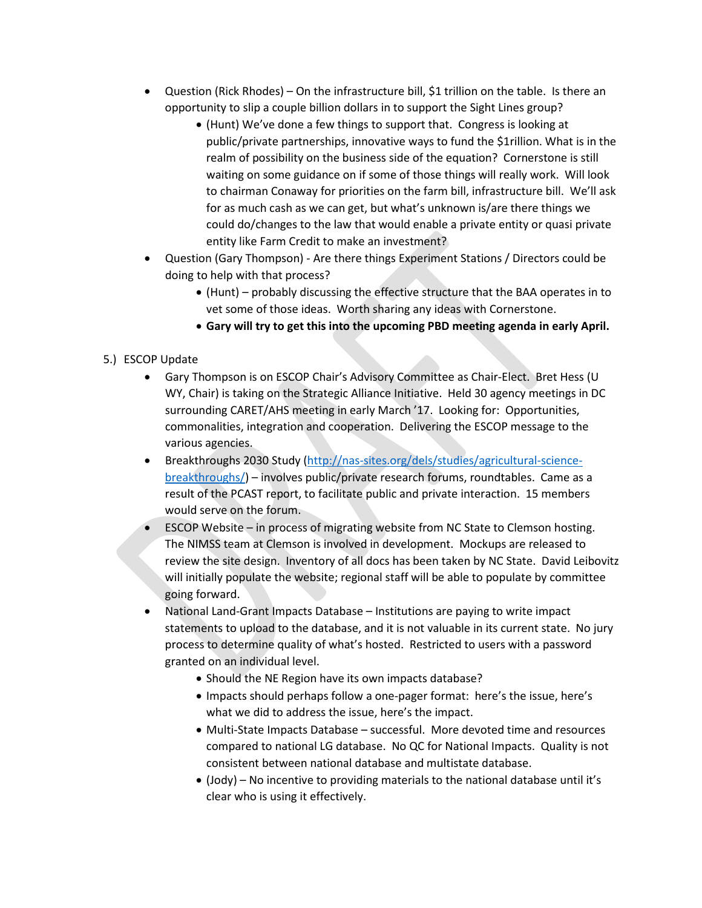- Question (Rick Rhodes) On the infrastructure bill, \$1 trillion on the table. Is there an opportunity to slip a couple billion dollars in to support the Sight Lines group?
	- (Hunt) We've done a few things to support that. Congress is looking at public/private partnerships, innovative ways to fund the \$1rillion. What is in the realm of possibility on the business side of the equation? Cornerstone is still waiting on some guidance on if some of those things will really work. Will look to chairman Conaway for priorities on the farm bill, infrastructure bill. We'll ask for as much cash as we can get, but what's unknown is/are there things we could do/changes to the law that would enable a private entity or quasi private entity like Farm Credit to make an investment?
- Question (Gary Thompson) Are there things Experiment Stations / Directors could be doing to help with that process?
	- (Hunt) probably discussing the effective structure that the BAA operates in to vet some of those ideas. Worth sharing any ideas with Cornerstone.
	- **Gary will try to get this into the upcoming PBD meeting agenda in early April.**

## 5.) ESCOP Update

- Gary Thompson is on ESCOP Chair's Advisory Committee as Chair-Elect. Bret Hess (U WY, Chair) is taking on the Strategic Alliance Initiative. Held 30 agency meetings in DC surrounding CARET/AHS meeting in early March '17. Looking for: Opportunities, commonalities, integration and cooperation. Delivering the ESCOP message to the various agencies.
- Breakthroughs 2030 Study [\(http://nas-sites.org/dels/studies/agricultural-science](http://nas-sites.org/dels/studies/agricultural-science-breakthroughs/)[breakthroughs/\)](http://nas-sites.org/dels/studies/agricultural-science-breakthroughs/) – involves public/private research forums, roundtables. Came as a result of the PCAST report, to facilitate public and private interaction. 15 members would serve on the forum.
- ESCOP Website in process of migrating website from NC State to Clemson hosting. The NIMSS team at Clemson is involved in development. Mockups are released to review the site design. Inventory of all docs has been taken by NC State. David Leibovitz will initially populate the website; regional staff will be able to populate by committee going forward.
- National Land-Grant Impacts Database Institutions are paying to write impact statements to upload to the database, and it is not valuable in its current state. No jury process to determine quality of what's hosted. Restricted to users with a password granted on an individual level.
	- Should the NE Region have its own impacts database?
	- Impacts should perhaps follow a one-pager format: here's the issue, here's what we did to address the issue, here's the impact.
	- Multi-State Impacts Database successful. More devoted time and resources compared to national LG database. No QC for National Impacts. Quality is not consistent between national database and multistate database.
	- (Jody) No incentive to providing materials to the national database until it's clear who is using it effectively.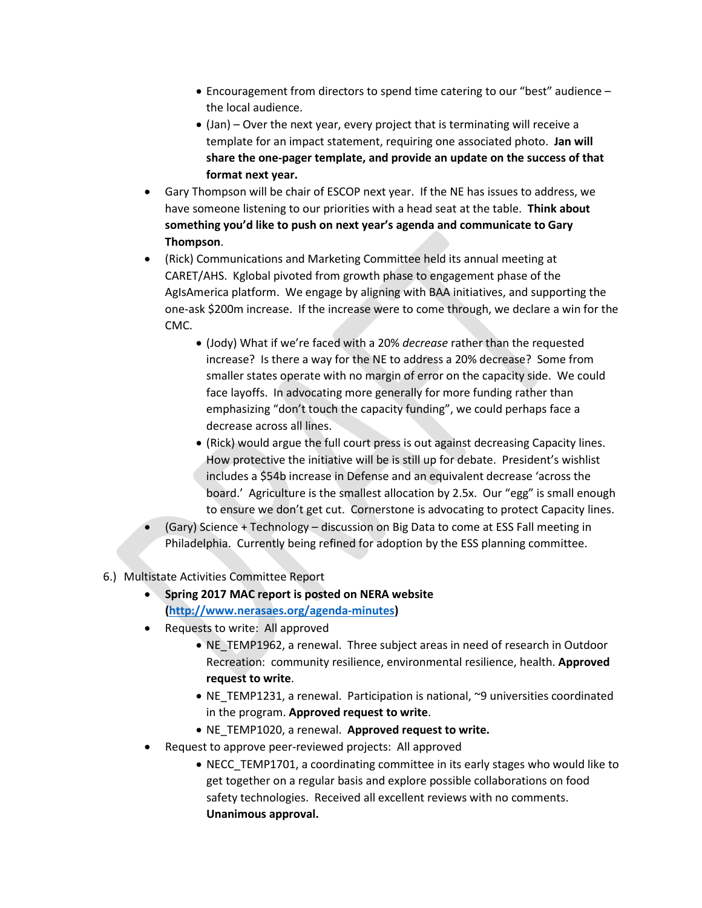- Encouragement from directors to spend time catering to our "best" audience the local audience.
- (Jan) Over the next year, every project that is terminating will receive a template for an impact statement, requiring one associated photo. **Jan will share the one-pager template, and provide an update on the success of that format next year.**
- Gary Thompson will be chair of ESCOP next year. If the NE has issues to address, we have someone listening to our priorities with a head seat at the table. **Think about something you'd like to push on next year's agenda and communicate to Gary Thompson**.
- (Rick) Communications and Marketing Committee held its annual meeting at CARET/AHS. Kglobal pivoted from growth phase to engagement phase of the AgIsAmerica platform. We engage by aligning with BAA initiatives, and supporting the one-ask \$200m increase. If the increase were to come through, we declare a win for the CMC.
	- (Jody) What if we're faced with a 20% *decrease* rather than the requested increase? Is there a way for the NE to address a 20% decrease? Some from smaller states operate with no margin of error on the capacity side. We could face layoffs. In advocating more generally for more funding rather than emphasizing "don't touch the capacity funding", we could perhaps face a decrease across all lines.
	- (Rick) would argue the full court press is out against decreasing Capacity lines. How protective the initiative will be is still up for debate. President's wishlist includes a \$54b increase in Defense and an equivalent decrease 'across the board.' Agriculture is the smallest allocation by 2.5x. Our "egg" is small enough to ensure we don't get cut. Cornerstone is advocating to protect Capacity lines.
- (Gary) Science + Technology discussion on Big Data to come at ESS Fall meeting in Philadelphia. Currently being refined for adoption by the ESS planning committee.
- 6.) Multistate Activities Committee Report
	- **Spring 2017 MAC report is posted on NERA website [\(http://www.nerasaes.org/agenda-minutes\)](http://www.nerasaes.org/agenda-minutes)**
	- Requests to write: All approved
		- NE\_TEMP1962, a renewal. Three subject areas in need of research in Outdoor Recreation: community resilience, environmental resilience, health. **Approved request to write**.
		- NE\_TEMP1231, a renewal. Participation is national, ~9 universities coordinated in the program. **Approved request to write**.
		- NE\_TEMP1020, a renewal. **Approved request to write.**
	- Request to approve peer-reviewed projects: All approved
		- NECC TEMP1701, a coordinating committee in its early stages who would like to get together on a regular basis and explore possible collaborations on food safety technologies. Received all excellent reviews with no comments. **Unanimous approval.**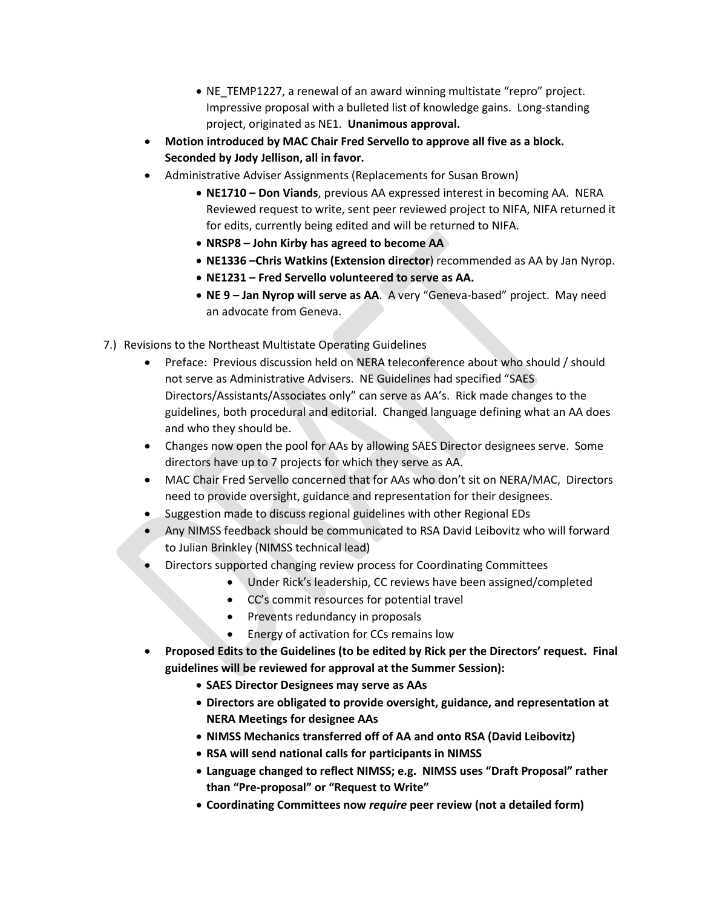- NE\_TEMP1227, a renewal of an award winning multistate "repro" project. Impressive proposal with a bulleted list of knowledge gains. Long-standing project, originated as NE1. **Unanimous approval.**
- **Motion introduced by MAC Chair Fred Servello to approve all five as a block. Seconded by Jody Jellison, all in favor.**
- Administrative Adviser Assignments (Replacements for Susan Brown)
	- **NE1710 – Don Viands**, previous AA expressed interest in becoming AA. NERA Reviewed request to write, sent peer reviewed project to NIFA, NIFA returned it for edits, currently being edited and will be returned to NIFA.
	- **NRSP8 – John Kirby has agreed to become AA**
	- **NE1336 –Chris Watkins (Extension director**) recommended as AA by Jan Nyrop.
	- **NE1231 – Fred Servello volunteered to serve as AA.**
	- **NE 9 – Jan Nyrop will serve as AA**. A very "Geneva-based" project. May need an advocate from Geneva.
- 7.) Revisions to the Northeast Multistate Operating Guidelines
	- Preface: Previous discussion held on NERA teleconference about who should / should not serve as Administrative Advisers. NE Guidelines had specified "SAES Directors/Assistants/Associates only" can serve as AA's. Rick made changes to the guidelines, both procedural and editorial. Changed language defining what an AA does and who they should be.
	- Changes now open the pool for AAs by allowing SAES Director designees serve. Some directors have up to 7 projects for which they serve as AA.
	- MAC Chair Fred Servello concerned that for AAs who don't sit on NERA/MAC, Directors need to provide oversight, guidance and representation for their designees.
	- Suggestion made to discuss regional guidelines with other Regional EDs
	- Any NIMSS feedback should be communicated to RSA David Leibovitz who will forward to Julian Brinkley (NIMSS technical lead)
	- Directors supported changing review process for Coordinating Committees
		- Under Rick's leadership, CC reviews have been assigned/completed
			- CC's commit resources for potential travel
			- Prevents redundancy in proposals
			- Energy of activation for CCs remains low
	- **Proposed Edits to the Guidelines (to be edited by Rick per the Directors' request. Final guidelines will be reviewed for approval at the Summer Session):**
		- **SAES Director Designees may serve as AAs**
		- **Directors are obligated to provide oversight, guidance, and representation at NERA Meetings for designee AAs**
		- **NIMSS Mechanics transferred off of AA and onto RSA (David Leibovitz)**
		- **RSA will send national calls for participants in NIMSS**
		- **Language changed to reflect NIMSS; e.g. NIMSS uses "Draft Proposal" rather than "Pre-proposal" or "Request to Write"**
		- **Coordinating Committees now** *require* **peer review (not a detailed form)**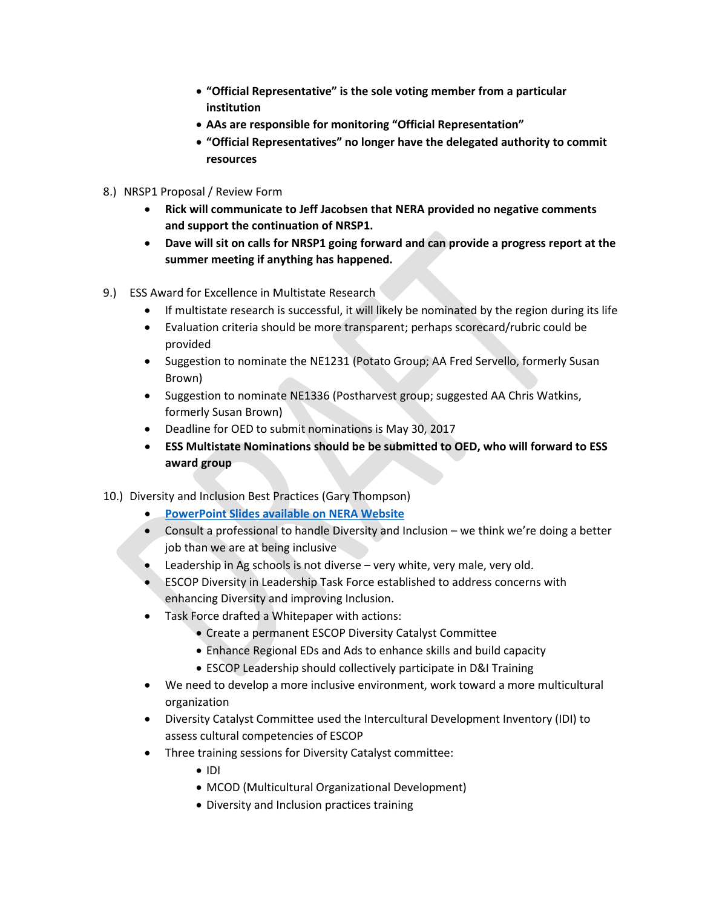- **"Official Representative" is the sole voting member from a particular institution**
- **AAs are responsible for monitoring "Official Representation"**
- **"Official Representatives" no longer have the delegated authority to commit resources**
- 8.) NRSP1 Proposal / Review Form
	- **Rick will communicate to Jeff Jacobsen that NERA provided no negative comments and support the continuation of NRSP1.**
	- **Dave will sit on calls for NRSP1 going forward and can provide a progress report at the summer meeting if anything has happened.**
- 9.)ESS Award for Excellence in Multistate Research
	- If multistate research is successful, it will likely be nominated by the region during its life
	- Evaluation criteria should be more transparent; perhaps scorecard/rubric could be provided
	- Suggestion to nominate the NE1231 (Potato Group; AA Fred Servello, formerly Susan Brown)
	- Suggestion to nominate NE1336 (Postharvest group; suggested AA Chris Watkins, formerly Susan Brown)
	- Deadline for OED to submit nominations is May 30, 2017
	- **ESS Multistate Nominations should be be submitted to OED, who will forward to ESS award group**
- 10.)Diversity and Inclusion Best Practices (Gary Thompson)
	- **[PowerPoint Slides available on NERA Website](http://www.nerasaes.org/2017-spring-meeting-docs)**
	- Consult a professional to handle Diversity and Inclusion we think we're doing a better job than we are at being inclusive
	- Leadership in Ag schools is not diverse very white, very male, very old.
	- ESCOP Diversity in Leadership Task Force established to address concerns with enhancing Diversity and improving Inclusion.
	- Task Force drafted a Whitepaper with actions:
		- Create a permanent ESCOP Diversity Catalyst Committee
		- Enhance Regional EDs and Ads to enhance skills and build capacity
		- ESCOP Leadership should collectively participate in D&I Training
	- We need to develop a more inclusive environment, work toward a more multicultural organization
	- Diversity Catalyst Committee used the Intercultural Development Inventory (IDI) to assess cultural competencies of ESCOP
	- Three training sessions for Diversity Catalyst committee:
		- IDI
		- MCOD (Multicultural Organizational Development)
		- Diversity and Inclusion practices training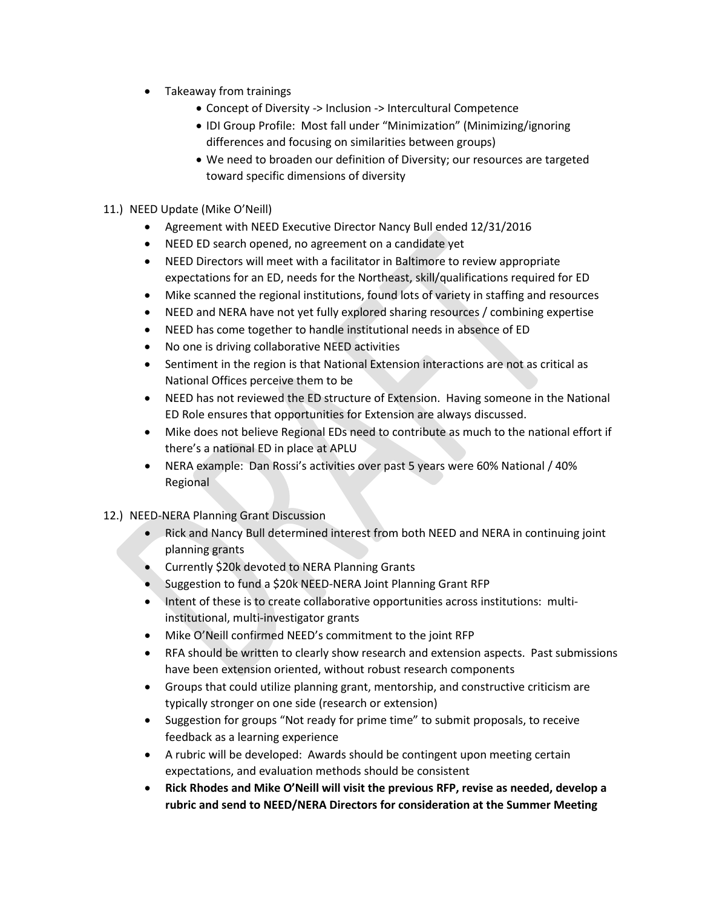- Takeaway from trainings
	- Concept of Diversity -> Inclusion -> Intercultural Competence
	- IDI Group Profile: Most fall under "Minimization" (Minimizing/ignoring differences and focusing on similarities between groups)
	- We need to broaden our definition of Diversity; our resources are targeted toward specific dimensions of diversity
- 11.) NEED Update (Mike O'Neill)
	- Agreement with NEED Executive Director Nancy Bull ended 12/31/2016
	- NEED ED search opened, no agreement on a candidate yet
	- NEED Directors will meet with a facilitator in Baltimore to review appropriate expectations for an ED, needs for the Northeast, skill/qualifications required for ED
	- Mike scanned the regional institutions, found lots of variety in staffing and resources
	- NEED and NERA have not yet fully explored sharing resources / combining expertise
	- NEED has come together to handle institutional needs in absence of ED
	- No one is driving collaborative NEED activities
	- Sentiment in the region is that National Extension interactions are not as critical as National Offices perceive them to be
	- NEED has not reviewed the ED structure of Extension. Having someone in the National ED Role ensures that opportunities for Extension are always discussed.
	- Mike does not believe Regional EDs need to contribute as much to the national effort if there's a national ED in place at APLU
	- NERA example: Dan Rossi's activities over past 5 years were 60% National / 40% Regional
- 12.) NEED-NERA Planning Grant Discussion
	- Rick and Nancy Bull determined interest from both NEED and NERA in continuing joint planning grants
	- Currently \$20k devoted to NERA Planning Grants
	- Suggestion to fund a \$20k NEED-NERA Joint Planning Grant RFP
	- Intent of these is to create collaborative opportunities across institutions: multiinstitutional, multi-investigator grants
	- Mike O'Neill confirmed NEED's commitment to the joint RFP
	- RFA should be written to clearly show research and extension aspects. Past submissions have been extension oriented, without robust research components
	- Groups that could utilize planning grant, mentorship, and constructive criticism are typically stronger on one side (research or extension)
	- Suggestion for groups "Not ready for prime time" to submit proposals, to receive feedback as a learning experience
	- A rubric will be developed: Awards should be contingent upon meeting certain expectations, and evaluation methods should be consistent
	- **Rick Rhodes and Mike O'Neill will visit the previous RFP, revise as needed, develop a rubric and send to NEED/NERA Directors for consideration at the Summer Meeting**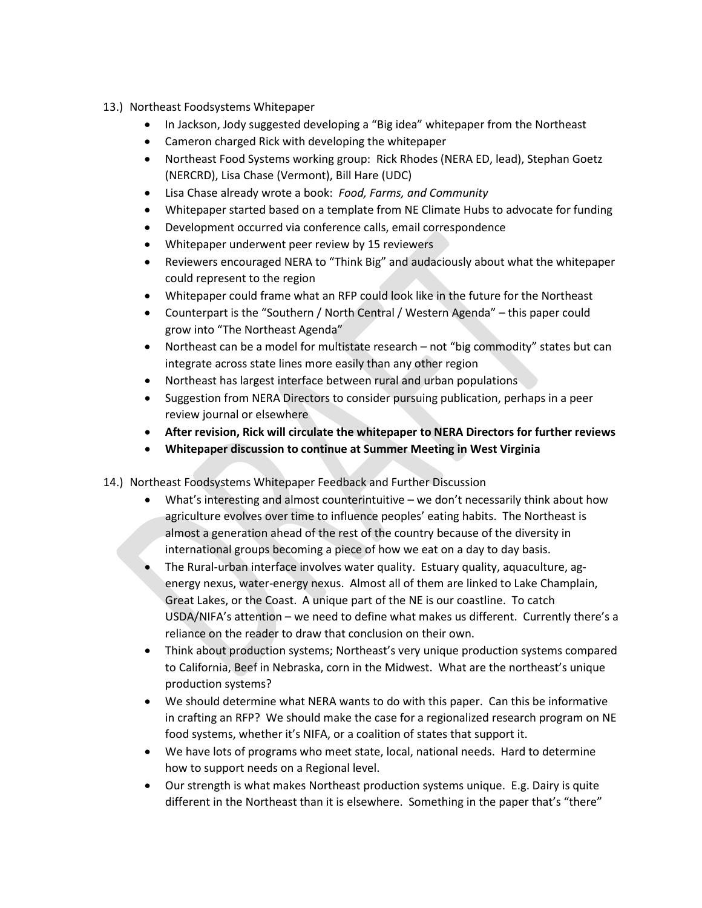- 13.) Northeast Foodsystems Whitepaper
	- In Jackson, Jody suggested developing a "Big idea" whitepaper from the Northeast
	- Cameron charged Rick with developing the whitepaper
	- Northeast Food Systems working group: Rick Rhodes (NERA ED, lead), Stephan Goetz (NERCRD), Lisa Chase (Vermont), Bill Hare (UDC)
	- Lisa Chase already wrote a book: *Food, Farms, and Community*
	- Whitepaper started based on a template from NE Climate Hubs to advocate for funding
	- Development occurred via conference calls, email correspondence
	- Whitepaper underwent peer review by 15 reviewers
	- Reviewers encouraged NERA to "Think Big" and audaciously about what the whitepaper could represent to the region
	- Whitepaper could frame what an RFP could look like in the future for the Northeast
	- Counterpart is the "Southern / North Central / Western Agenda" this paper could grow into "The Northeast Agenda"
	- Northeast can be a model for multistate research not "big commodity" states but can integrate across state lines more easily than any other region
	- Northeast has largest interface between rural and urban populations
	- Suggestion from NERA Directors to consider pursuing publication, perhaps in a peer review journal or elsewhere
	- **After revision, Rick will circulate the whitepaper to NERA Directors for further reviews**
	- **Whitepaper discussion to continue at Summer Meeting in West Virginia**
- 14.) Northeast Foodsystems Whitepaper Feedback and Further Discussion
	- What's interesting and almost counterintuitive we don't necessarily think about how agriculture evolves over time to influence peoples' eating habits. The Northeast is almost a generation ahead of the rest of the country because of the diversity in international groups becoming a piece of how we eat on a day to day basis.
	- The Rural-urban interface involves water quality. Estuary quality, aquaculture, agenergy nexus, water-energy nexus. Almost all of them are linked to Lake Champlain, Great Lakes, or the Coast. A unique part of the NE is our coastline. To catch USDA/NIFA's attention – we need to define what makes us different. Currently there's a reliance on the reader to draw that conclusion on their own.
	- Think about production systems; Northeast's very unique production systems compared to California, Beef in Nebraska, corn in the Midwest. What are the northeast's unique production systems?
	- We should determine what NERA wants to do with this paper. Can this be informative in crafting an RFP? We should make the case for a regionalized research program on NE food systems, whether it's NIFA, or a coalition of states that support it.
	- We have lots of programs who meet state, local, national needs. Hard to determine how to support needs on a Regional level.
	- Our strength is what makes Northeast production systems unique. E.g. Dairy is quite different in the Northeast than it is elsewhere. Something in the paper that's "there"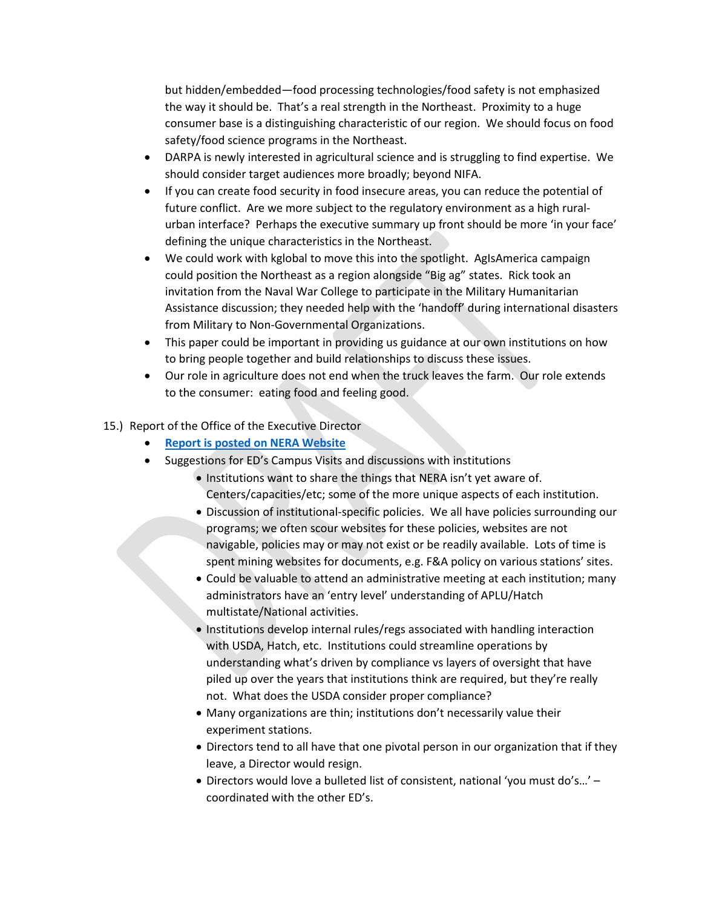but hidden/embedded—food processing technologies/food safety is not emphasized the way it should be. That's a real strength in the Northeast. Proximity to a huge consumer base is a distinguishing characteristic of our region. We should focus on food safety/food science programs in the Northeast.

- DARPA is newly interested in agricultural science and is struggling to find expertise. We should consider target audiences more broadly; beyond NIFA.
- If you can create food security in food insecure areas, you can reduce the potential of future conflict. Are we more subject to the regulatory environment as a high ruralurban interface? Perhaps the executive summary up front should be more 'in your face' defining the unique characteristics in the Northeast.
- We could work with kglobal to move this into the spotlight. AgIsAmerica campaign could position the Northeast as a region alongside "Big ag" states. Rick took an invitation from the Naval War College to participate in the Military Humanitarian Assistance discussion; they needed help with the 'handoff' during international disasters from Military to Non-Governmental Organizations.
- This paper could be important in providing us guidance at our own institutions on how to bring people together and build relationships to discuss these issues.
- Our role in agriculture does not end when the truck leaves the farm. Our role extends to the consumer: eating food and feeling good.

## 15.) Report of the Office of the Executive Director

- **[Report is posted on NERA Website](http://www.nerasaes.org/2017-spring-meeting-docs)**
- Suggestions for ED's Campus Visits and discussions with institutions
	- Institutions want to share the things that NERA isn't yet aware of. Centers/capacities/etc; some of the more unique aspects of each institution.
	- Discussion of institutional-specific policies. We all have policies surrounding our programs; we often scour websites for these policies, websites are not navigable, policies may or may not exist or be readily available. Lots of time is spent mining websites for documents, e.g. F&A policy on various stations' sites.
	- Could be valuable to attend an administrative meeting at each institution; many administrators have an 'entry level' understanding of APLU/Hatch multistate/National activities.
	- Institutions develop internal rules/regs associated with handling interaction with USDA, Hatch, etc. Institutions could streamline operations by understanding what's driven by compliance vs layers of oversight that have piled up over the years that institutions think are required, but they're really not. What does the USDA consider proper compliance?
	- Many organizations are thin; institutions don't necessarily value their experiment stations.
	- Directors tend to all have that one pivotal person in our organization that if they leave, a Director would resign.
	- Directors would love a bulleted list of consistent, national 'you must do's…' coordinated with the other ED's.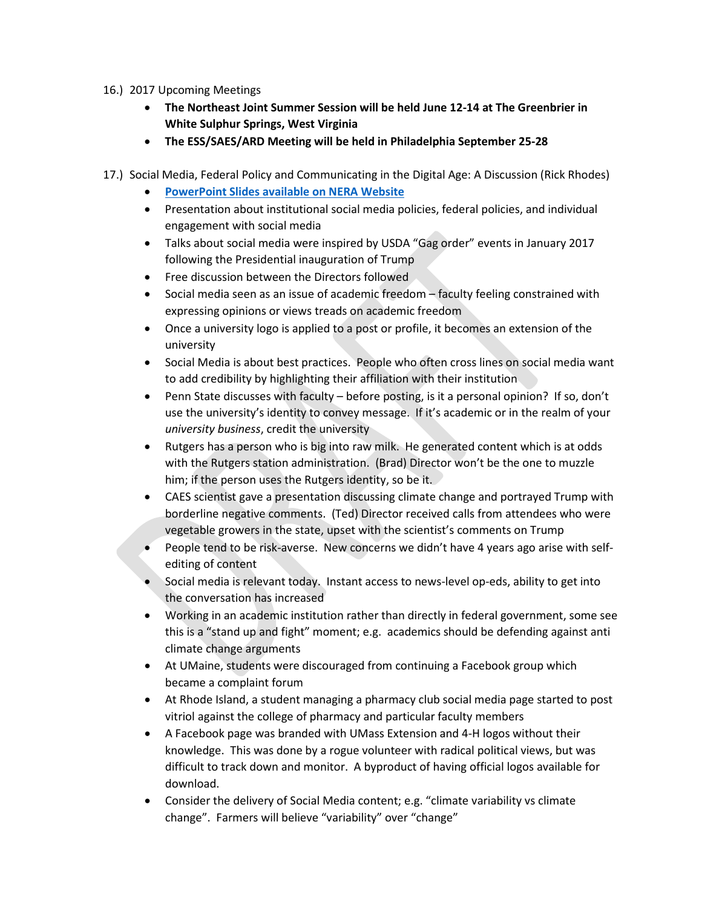- 16.) 2017 Upcoming Meetings
	- **The Northeast Joint Summer Session will be held June 12-14 at The Greenbrier in White Sulphur Springs, West Virginia**
	- **The ESS/SAES/ARD Meeting will be held in Philadelphia September 25-28**
- 17.) Social Media, Federal Policy and Communicating in the Digital Age: A Discussion (Rick Rhodes)
	- **[PowerPoint Slides available on NERA Website](http://www.nerasaes.org/2017-spring-meeting-docs)**
	- Presentation about institutional social media policies, federal policies, and individual engagement with social media
	- Talks about social media were inspired by USDA "Gag order" events in January 2017 following the Presidential inauguration of Trump
	- Free discussion between the Directors followed
	- Social media seen as an issue of academic freedom faculty feeling constrained with expressing opinions or views treads on academic freedom
	- Once a university logo is applied to a post or profile, it becomes an extension of the university
	- Social Media is about best practices. People who often cross lines on social media want to add credibility by highlighting their affiliation with their institution
	- Penn State discusses with faculty before posting, is it a personal opinion? If so, don't use the university's identity to convey message. If it's academic or in the realm of your *university business*, credit the university
	- Rutgers has a person who is big into raw milk. He generated content which is at odds with the Rutgers station administration. (Brad) Director won't be the one to muzzle him; if the person uses the Rutgers identity, so be it.
	- CAES scientist gave a presentation discussing climate change and portrayed Trump with borderline negative comments. (Ted) Director received calls from attendees who were vegetable growers in the state, upset with the scientist's comments on Trump
	- People tend to be risk-averse. New concerns we didn't have 4 years ago arise with selfediting of content
	- Social media is relevant today. Instant access to news-level op-eds, ability to get into the conversation has increased
	- Working in an academic institution rather than directly in federal government, some see this is a "stand up and fight" moment; e.g. academics should be defending against anti climate change arguments
	- At UMaine, students were discouraged from continuing a Facebook group which became a complaint forum
	- At Rhode Island, a student managing a pharmacy club social media page started to post vitriol against the college of pharmacy and particular faculty members
	- A Facebook page was branded with UMass Extension and 4-H logos without their knowledge. This was done by a rogue volunteer with radical political views, but was difficult to track down and monitor. A byproduct of having official logos available for download.
	- Consider the delivery of Social Media content; e.g. "climate variability vs climate change". Farmers will believe "variability" over "change"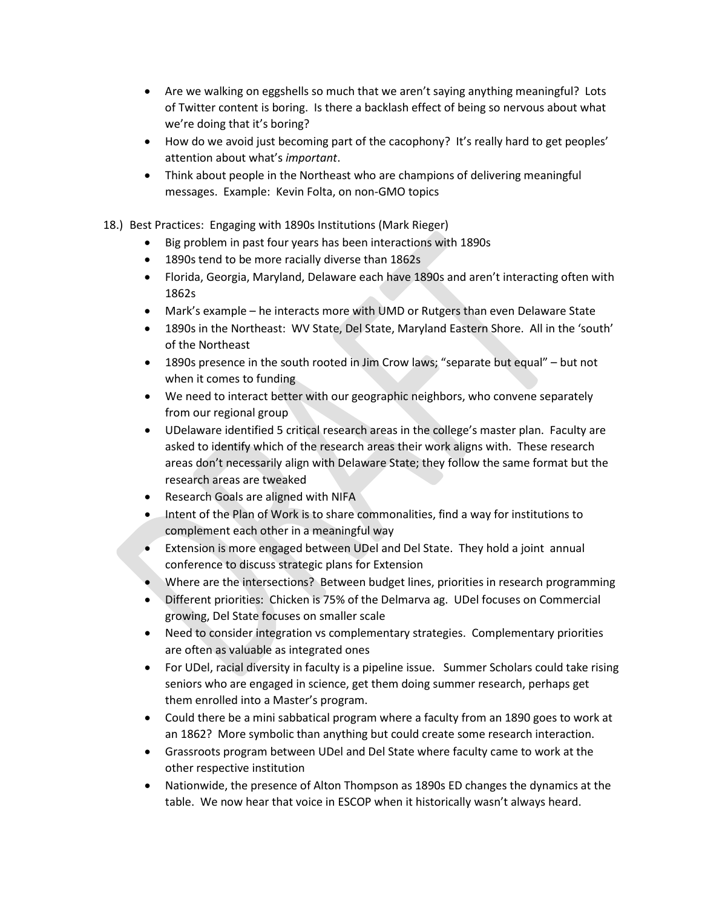- Are we walking on eggshells so much that we aren't saying anything meaningful? Lots of Twitter content is boring. Is there a backlash effect of being so nervous about what we're doing that it's boring?
- How do we avoid just becoming part of the cacophony? It's really hard to get peoples' attention about what's *important*.
- Think about people in the Northeast who are champions of delivering meaningful messages. Example: Kevin Folta, on non-GMO topics
- 18.) Best Practices: Engaging with 1890s Institutions (Mark Rieger)
	- Big problem in past four years has been interactions with 1890s
	- 1890s tend to be more racially diverse than 1862s
	- Florida, Georgia, Maryland, Delaware each have 1890s and aren't interacting often with 1862s
	- Mark's example he interacts more with UMD or Rutgers than even Delaware State
	- 1890s in the Northeast: WV State, Del State, Maryland Eastern Shore. All in the 'south' of the Northeast
	- 1890s presence in the south rooted in Jim Crow laws; "separate but equal" but not when it comes to funding
	- We need to interact better with our geographic neighbors, who convene separately from our regional group
	- UDelaware identified 5 critical research areas in the college's master plan. Faculty are asked to identify which of the research areas their work aligns with. These research areas don't necessarily align with Delaware State; they follow the same format but the research areas are tweaked
	- Research Goals are aligned with NIFA
	- Intent of the Plan of Work is to share commonalities, find a way for institutions to complement each other in a meaningful way
	- Extension is more engaged between UDel and Del State. They hold a joint annual conference to discuss strategic plans for Extension
	- Where are the intersections? Between budget lines, priorities in research programming
	- Different priorities: Chicken is 75% of the Delmarva ag. UDel focuses on Commercial growing, Del State focuses on smaller scale
	- Need to consider integration vs complementary strategies. Complementary priorities are often as valuable as integrated ones
	- For UDel, racial diversity in faculty is a pipeline issue. Summer Scholars could take rising seniors who are engaged in science, get them doing summer research, perhaps get them enrolled into a Master's program.
	- Could there be a mini sabbatical program where a faculty from an 1890 goes to work at an 1862? More symbolic than anything but could create some research interaction.
	- Grassroots program between UDel and Del State where faculty came to work at the other respective institution
	- Nationwide, the presence of Alton Thompson as 1890s ED changes the dynamics at the table. We now hear that voice in ESCOP when it historically wasn't always heard.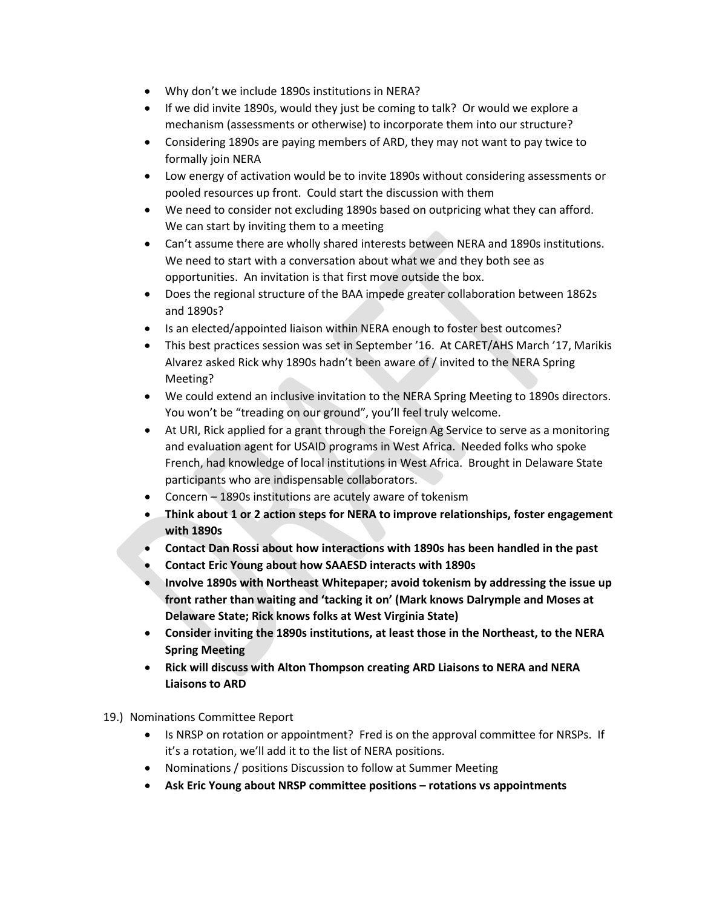- Why don't we include 1890s institutions in NERA?
- If we did invite 1890s, would they just be coming to talk? Or would we explore a mechanism (assessments or otherwise) to incorporate them into our structure?
- Considering 1890s are paying members of ARD, they may not want to pay twice to formally join NERA
- Low energy of activation would be to invite 1890s without considering assessments or pooled resources up front. Could start the discussion with them
- We need to consider not excluding 1890s based on outpricing what they can afford. We can start by inviting them to a meeting
- Can't assume there are wholly shared interests between NERA and 1890s institutions. We need to start with a conversation about what we and they both see as opportunities. An invitation is that first move outside the box.
- Does the regional structure of the BAA impede greater collaboration between 1862s and 1890s?
- Is an elected/appointed liaison within NERA enough to foster best outcomes?
- This best practices session was set in September '16. At CARET/AHS March '17, Marikis Alvarez asked Rick why 1890s hadn't been aware of / invited to the NERA Spring Meeting?
- We could extend an inclusive invitation to the NERA Spring Meeting to 1890s directors. You won't be "treading on our ground", you'll feel truly welcome.
- At URI, Rick applied for a grant through the Foreign Ag Service to serve as a monitoring and evaluation agent for USAID programs in West Africa. Needed folks who spoke French, had knowledge of local institutions in West Africa. Brought in Delaware State participants who are indispensable collaborators.
- Concern 1890s institutions are acutely aware of tokenism
- **Think about 1 or 2 action steps for NERA to improve relationships, foster engagement with 1890s**
- **Contact Dan Rossi about how interactions with 1890s has been handled in the past**
- **Contact Eric Young about how SAAESD interacts with 1890s**
- **Involve 1890s with Northeast Whitepaper; avoid tokenism by addressing the issue up front rather than waiting and 'tacking it on' (Mark knows Dalrymple and Moses at Delaware State; Rick knows folks at West Virginia State)**
- **Consider inviting the 1890s institutions, at least those in the Northeast, to the NERA Spring Meeting**
- **Rick will discuss with Alton Thompson creating ARD Liaisons to NERA and NERA Liaisons to ARD**
- 19.) Nominations Committee Report
	- Is NRSP on rotation or appointment? Fred is on the approval committee for NRSPs. If it's a rotation, we'll add it to the list of NERA positions.
	- Nominations / positions Discussion to follow at Summer Meeting
	- **Ask Eric Young about NRSP committee positions – rotations vs appointments**